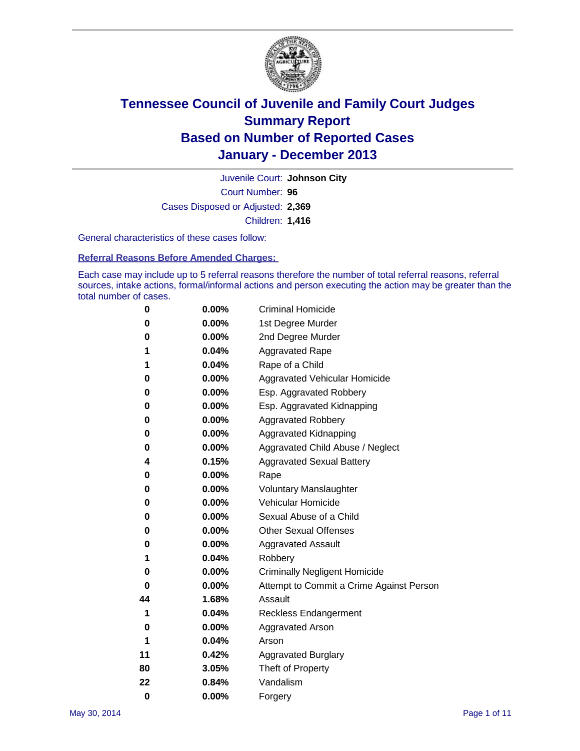

Court Number: **96** Juvenile Court: **Johnson City** Cases Disposed or Adjusted: **2,369** Children: **1,416**

General characteristics of these cases follow:

**Referral Reasons Before Amended Charges:** 

Each case may include up to 5 referral reasons therefore the number of total referral reasons, referral sources, intake actions, formal/informal actions and person executing the action may be greater than the total number of cases.

| 0        | 0.00% | <b>Criminal Homicide</b>                 |  |  |
|----------|-------|------------------------------------------|--|--|
| 0        | 0.00% | 1st Degree Murder                        |  |  |
| 0        | 0.00% | 2nd Degree Murder                        |  |  |
| 1        | 0.04% | <b>Aggravated Rape</b>                   |  |  |
| 1        | 0.04% | Rape of a Child                          |  |  |
| 0        | 0.00% | <b>Aggravated Vehicular Homicide</b>     |  |  |
| 0        | 0.00% | Esp. Aggravated Robbery                  |  |  |
| 0        | 0.00% | Esp. Aggravated Kidnapping               |  |  |
| 0        | 0.00% | <b>Aggravated Robbery</b>                |  |  |
| 0        | 0.00% | Aggravated Kidnapping                    |  |  |
| 0        | 0.00% | Aggravated Child Abuse / Neglect         |  |  |
| 4        | 0.15% | <b>Aggravated Sexual Battery</b>         |  |  |
| 0        | 0.00% | Rape                                     |  |  |
| 0        | 0.00% | <b>Voluntary Manslaughter</b>            |  |  |
| 0        | 0.00% | Vehicular Homicide                       |  |  |
| 0        | 0.00% | Sexual Abuse of a Child                  |  |  |
| 0        | 0.00% | <b>Other Sexual Offenses</b>             |  |  |
| 0        | 0.00% | <b>Aggravated Assault</b>                |  |  |
| 1        | 0.04% | Robbery                                  |  |  |
| 0        | 0.00% | <b>Criminally Negligent Homicide</b>     |  |  |
| 0        | 0.00% | Attempt to Commit a Crime Against Person |  |  |
| 44       | 1.68% | Assault                                  |  |  |
| 1        | 0.04% | <b>Reckless Endangerment</b>             |  |  |
| 0        | 0.00% | <b>Aggravated Arson</b>                  |  |  |
| 1        | 0.04% | Arson                                    |  |  |
| 11       | 0.42% | <b>Aggravated Burglary</b>               |  |  |
| 80       | 3.05% | Theft of Property                        |  |  |
| 22       | 0.84% | Vandalism                                |  |  |
| $\bf{0}$ | 0.00% | Forgery                                  |  |  |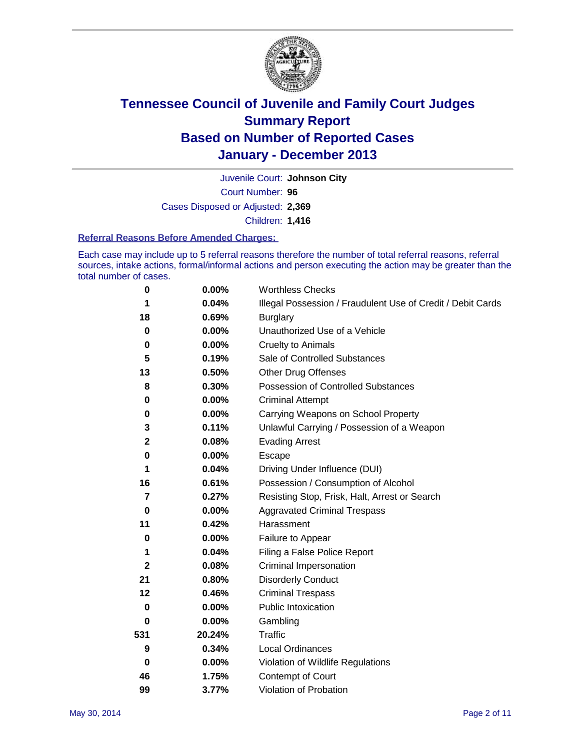

Court Number: **96** Juvenile Court: **Johnson City** Cases Disposed or Adjusted: **2,369** Children: **1,416**

#### **Referral Reasons Before Amended Charges:**

Each case may include up to 5 referral reasons therefore the number of total referral reasons, referral sources, intake actions, formal/informal actions and person executing the action may be greater than the total number of cases.

| 0            | 0.00%    | <b>Worthless Checks</b>                                     |
|--------------|----------|-------------------------------------------------------------|
| 1            | 0.04%    | Illegal Possession / Fraudulent Use of Credit / Debit Cards |
| 18           | 0.69%    | <b>Burglary</b>                                             |
| 0            | 0.00%    | Unauthorized Use of a Vehicle                               |
| 0            | 0.00%    | <b>Cruelty to Animals</b>                                   |
| 5            | 0.19%    | Sale of Controlled Substances                               |
| 13           | 0.50%    | <b>Other Drug Offenses</b>                                  |
| 8            | 0.30%    | Possession of Controlled Substances                         |
| 0            | 0.00%    | <b>Criminal Attempt</b>                                     |
| 0            | 0.00%    | Carrying Weapons on School Property                         |
| 3            | 0.11%    | Unlawful Carrying / Possession of a Weapon                  |
| $\mathbf 2$  | 0.08%    | <b>Evading Arrest</b>                                       |
| 0            | 0.00%    | Escape                                                      |
| 1            | 0.04%    | Driving Under Influence (DUI)                               |
| 16           | 0.61%    | Possession / Consumption of Alcohol                         |
| 7            | 0.27%    | Resisting Stop, Frisk, Halt, Arrest or Search               |
| $\bf{0}$     | 0.00%    | <b>Aggravated Criminal Trespass</b>                         |
| 11           | 0.42%    | Harassment                                                  |
| 0            | 0.00%    | Failure to Appear                                           |
| 1            | 0.04%    | Filing a False Police Report                                |
| $\mathbf{2}$ | 0.08%    | Criminal Impersonation                                      |
| 21           | 0.80%    | <b>Disorderly Conduct</b>                                   |
| 12           | 0.46%    | <b>Criminal Trespass</b>                                    |
| 0            | 0.00%    | <b>Public Intoxication</b>                                  |
| 0            | 0.00%    | Gambling                                                    |
| 531          | 20.24%   | <b>Traffic</b>                                              |
| 9            | 0.34%    | <b>Local Ordinances</b>                                     |
| $\mathbf 0$  | $0.00\%$ | Violation of Wildlife Regulations                           |
| 46           | 1.75%    | Contempt of Court                                           |
| 99           | 3.77%    | Violation of Probation                                      |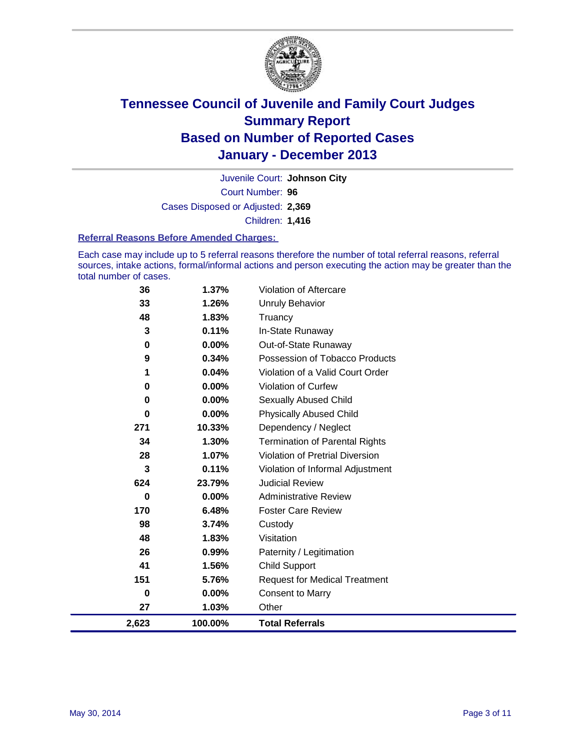

Court Number: **96** Juvenile Court: **Johnson City** Cases Disposed or Adjusted: **2,369** Children: **1,416**

#### **Referral Reasons Before Amended Charges:**

Each case may include up to 5 referral reasons therefore the number of total referral reasons, referral sources, intake actions, formal/informal actions and person executing the action may be greater than the total number of cases.

| 2,623 | 100.00%  | <b>Total Referrals</b>                 |
|-------|----------|----------------------------------------|
| 27    | 1.03%    | Other                                  |
| 0     | 0.00%    | <b>Consent to Marry</b>                |
| 151   | 5.76%    | <b>Request for Medical Treatment</b>   |
| 41    | 1.56%    | <b>Child Support</b>                   |
| 26    | 0.99%    | Paternity / Legitimation               |
| 48    | 1.83%    | Visitation                             |
| 98    | 3.74%    | Custody                                |
| 170   | 6.48%    | <b>Foster Care Review</b>              |
| 0     | 0.00%    | <b>Administrative Review</b>           |
| 624   | 23.79%   | <b>Judicial Review</b>                 |
| 3     | 0.11%    | Violation of Informal Adjustment       |
| 28    | 1.07%    | <b>Violation of Pretrial Diversion</b> |
| 34    | 1.30%    | <b>Termination of Parental Rights</b>  |
| 271   | 10.33%   | Dependency / Neglect                   |
| 0     | $0.00\%$ | <b>Physically Abused Child</b>         |
| 0     | $0.00\%$ | Sexually Abused Child                  |
| 0     | 0.00%    | Violation of Curfew                    |
| 1     | 0.04%    | Violation of a Valid Court Order       |
| 9     | 0.34%    | Possession of Tobacco Products         |
| 0     | $0.00\%$ | Out-of-State Runaway                   |
| 3     | 0.11%    | In-State Runaway                       |
| 48    | 1.83%    | Truancy                                |
| 33    | 1.26%    | Unruly Behavior                        |
| 36    | 1.37%    | <b>Violation of Aftercare</b>          |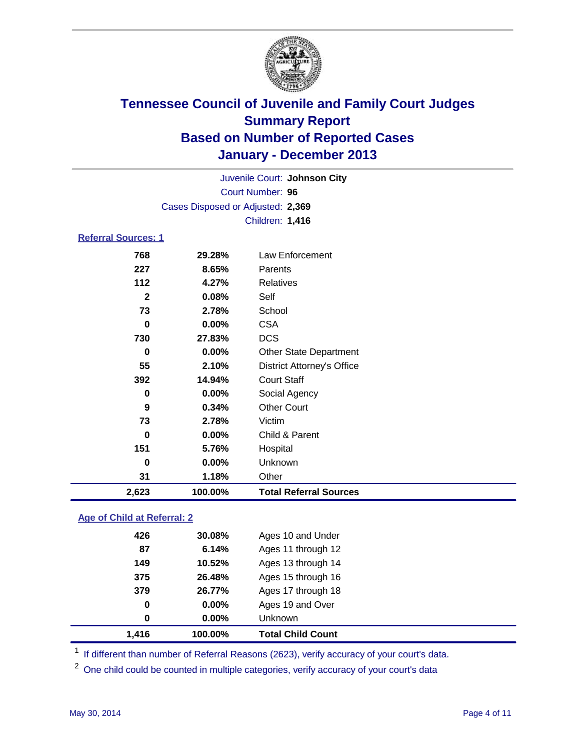

|                                   | Juvenile Court: Johnson City |                                   |  |  |  |
|-----------------------------------|------------------------------|-----------------------------------|--|--|--|
| Court Number: 96                  |                              |                                   |  |  |  |
| Cases Disposed or Adjusted: 2,369 |                              |                                   |  |  |  |
|                                   |                              | Children: 1,416                   |  |  |  |
| <b>Referral Sources: 1</b>        |                              |                                   |  |  |  |
| 768                               | 29.28%                       | Law Enforcement                   |  |  |  |
| 227                               | 8.65%                        | Parents                           |  |  |  |
| 112                               | 4.27%                        | <b>Relatives</b>                  |  |  |  |
| $\mathbf{2}$                      | 0.08%                        | Self                              |  |  |  |
| 73                                | 2.78%                        | School                            |  |  |  |
| 0                                 | 0.00%                        | <b>CSA</b>                        |  |  |  |
| 730                               | 27.83%                       | <b>DCS</b>                        |  |  |  |
| 0                                 | $0.00\%$                     | <b>Other State Department</b>     |  |  |  |
| 55                                | 2.10%                        | <b>District Attorney's Office</b> |  |  |  |
| 392                               | 14.94%                       | <b>Court Staff</b>                |  |  |  |
| 0                                 | $0.00\%$                     | Social Agency                     |  |  |  |
| 9                                 | 0.34%                        | <b>Other Court</b>                |  |  |  |
| 73                                | 2.78%                        | Victim                            |  |  |  |
| 0                                 | $0.00\%$                     | Child & Parent                    |  |  |  |
| 151                               | 5.76%                        | Hospital                          |  |  |  |
| 0                                 | 0.00%                        | Unknown                           |  |  |  |

#### **Age of Child at Referral: 2**

| 1.416 | 100.00%       | <b>Total Child Count</b> |
|-------|---------------|--------------------------|
|       | 0.00%<br>0    | Unknown                  |
|       | 0<br>$0.00\%$ | Ages 19 and Over         |
| 379   | 26.77%        | Ages 17 through 18       |
| 375   | 26.48%        | Ages 15 through 16       |
| 149   | 10.52%        | Ages 13 through 14       |
|       | 6.14%<br>87   | Ages 11 through 12       |
| 426   | 30.08%        | Ages 10 and Under        |
|       |               |                          |

<sup>1</sup> If different than number of Referral Reasons (2623), verify accuracy of your court's data.

<sup>2</sup> One child could be counted in multiple categories, verify accuracy of your court's data

**1.18%** Other

**2,623 100.00% Total Referral Sources**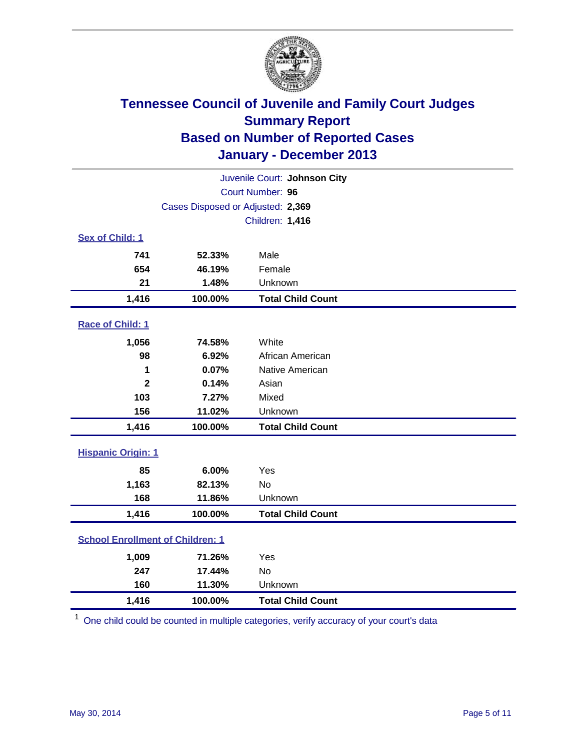

| Juvenile Court: Johnson City |                                         |                          |  |  |
|------------------------------|-----------------------------------------|--------------------------|--|--|
|                              | Court Number: 96                        |                          |  |  |
|                              | Cases Disposed or Adjusted: 2,369       |                          |  |  |
|                              | Children: 1,416                         |                          |  |  |
| Sex of Child: 1              |                                         |                          |  |  |
| 741                          | 52.33%                                  | Male                     |  |  |
| 654                          | 46.19%                                  | Female                   |  |  |
| 21                           | 1.48%                                   | Unknown                  |  |  |
| 1,416                        | 100.00%                                 | <b>Total Child Count</b> |  |  |
| Race of Child: 1             |                                         |                          |  |  |
| 1,056                        | 74.58%                                  | White                    |  |  |
| 98                           | 6.92%                                   | African American         |  |  |
| 1                            | 0.07%                                   | Native American          |  |  |
| $\mathbf{2}$                 | 0.14%                                   | Asian                    |  |  |
| 103                          | 7.27%                                   | Mixed                    |  |  |
| 156                          | 11.02%                                  | Unknown                  |  |  |
| 1,416                        | 100.00%                                 | <b>Total Child Count</b> |  |  |
| <b>Hispanic Origin: 1</b>    |                                         |                          |  |  |
| 85                           | 6.00%                                   | Yes                      |  |  |
| 1,163                        | 82.13%                                  | <b>No</b>                |  |  |
| 168                          | 11.86%                                  | Unknown                  |  |  |
| 1,416                        | 100.00%                                 | <b>Total Child Count</b> |  |  |
|                              | <b>School Enrollment of Children: 1</b> |                          |  |  |
| 1,009                        | 71.26%                                  | Yes                      |  |  |
| 247                          | 17.44%                                  | <b>No</b>                |  |  |
| 160                          | 11.30%                                  | Unknown                  |  |  |
| 1,416                        | 100.00%                                 | <b>Total Child Count</b> |  |  |

<sup>1</sup> One child could be counted in multiple categories, verify accuracy of your court's data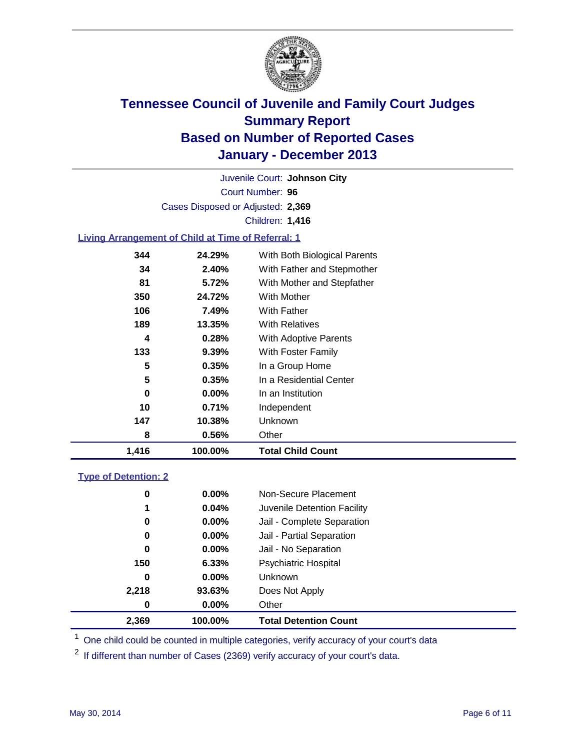

Court Number: **96** Juvenile Court: **Johnson City** Cases Disposed or Adjusted: **2,369** Children: **1,416**

### **Living Arrangement of Child at Time of Referral: 1**

| 1,416 | 100.00%  | <b>Total Child Count</b>     |
|-------|----------|------------------------------|
| 8     | 0.56%    | Other                        |
| 147   | 10.38%   | Unknown                      |
| 10    | 0.71%    | Independent                  |
| 0     | $0.00\%$ | In an Institution            |
| 5     | 0.35%    | In a Residential Center      |
| 5     | 0.35%    | In a Group Home              |
| 133   | $9.39\%$ | With Foster Family           |
| 4     | 0.28%    | <b>With Adoptive Parents</b> |
| 189   | 13.35%   | <b>With Relatives</b>        |
| 106   | 7.49%    | With Father                  |
| 350   | 24.72%   | <b>With Mother</b>           |
| 81    | 5.72%    | With Mother and Stepfather   |
| 34    | 2.40%    | With Father and Stepmother   |
| 344   | 24.29%   | With Both Biological Parents |
|       |          |                              |

#### **Type of Detention: 2**

| 2,369 | 100.00%  | <b>Total Detention Count</b> |  |
|-------|----------|------------------------------|--|
| 0     | $0.00\%$ | Other                        |  |
| 2,218 | 93.63%   | Does Not Apply               |  |
| 0     | $0.00\%$ | <b>Unknown</b>               |  |
| 150   | 6.33%    | <b>Psychiatric Hospital</b>  |  |
| 0     | $0.00\%$ | Jail - No Separation         |  |
| 0     | $0.00\%$ | Jail - Partial Separation    |  |
| 0     | $0.00\%$ | Jail - Complete Separation   |  |
| 1     | 0.04%    | Juvenile Detention Facility  |  |
| 0     | $0.00\%$ | Non-Secure Placement         |  |
|       |          |                              |  |

<sup>1</sup> One child could be counted in multiple categories, verify accuracy of your court's data

<sup>2</sup> If different than number of Cases (2369) verify accuracy of your court's data.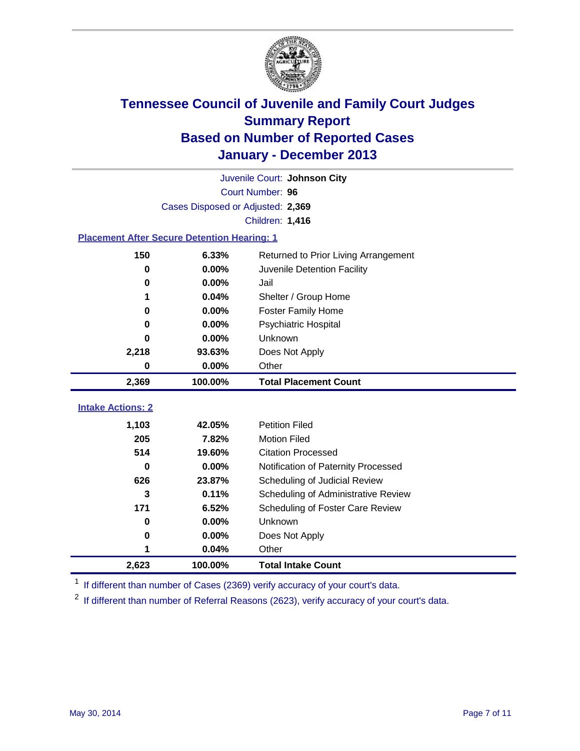

|                          | Juvenile Court: Johnson City                       |                                      |  |  |
|--------------------------|----------------------------------------------------|--------------------------------------|--|--|
|                          | Court Number: 96                                   |                                      |  |  |
|                          | Cases Disposed or Adjusted: 2,369                  |                                      |  |  |
|                          |                                                    | Children: 1,416                      |  |  |
|                          | <b>Placement After Secure Detention Hearing: 1</b> |                                      |  |  |
| 150                      | 6.33%                                              | Returned to Prior Living Arrangement |  |  |
| 0                        | 0.00%                                              | Juvenile Detention Facility          |  |  |
| 0                        | 0.00%                                              | Jail                                 |  |  |
|                          | 0.04%                                              | Shelter / Group Home                 |  |  |
| 0                        | 0.00%                                              | <b>Foster Family Home</b>            |  |  |
| 0                        | 0.00%                                              | Psychiatric Hospital                 |  |  |
| 0                        | 0.00%                                              | Unknown                              |  |  |
| 2,218                    | 93.63%                                             | Does Not Apply                       |  |  |
| 0                        | 0.00%                                              | Other                                |  |  |
|                          |                                                    |                                      |  |  |
| 2,369                    | 100.00%                                            | <b>Total Placement Count</b>         |  |  |
|                          |                                                    |                                      |  |  |
| <b>Intake Actions: 2</b> |                                                    |                                      |  |  |
| 1,103                    | 42.05%                                             | <b>Petition Filed</b>                |  |  |
| 205                      | 7.82%                                              | <b>Motion Filed</b>                  |  |  |
| 514                      | 19.60%                                             | <b>Citation Processed</b>            |  |  |
| $\bf{0}$                 | 0.00%                                              | Notification of Paternity Processed  |  |  |
| 626                      | 23.87%                                             | Scheduling of Judicial Review        |  |  |
| 3                        | 0.11%                                              | Scheduling of Administrative Review  |  |  |
| 171                      | 6.52%                                              | Scheduling of Foster Care Review     |  |  |
| $\bf{0}$                 | 0.00%                                              | Unknown                              |  |  |
| 0                        | 0.00%                                              | Does Not Apply                       |  |  |
| 1                        | 0.04%                                              | Other                                |  |  |

<sup>1</sup> If different than number of Cases (2369) verify accuracy of your court's data.

<sup>2</sup> If different than number of Referral Reasons (2623), verify accuracy of your court's data.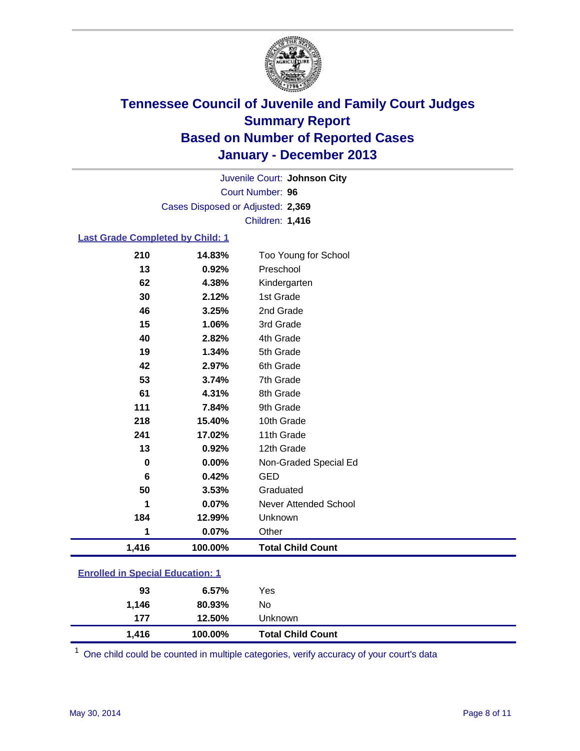

Court Number: **96** Juvenile Court: **Johnson City** Cases Disposed or Adjusted: **2,369** Children: **1,416**

#### **Last Grade Completed by Child: 1**

| 1,416    | 100.00% | <b>Total Child Count</b> |
|----------|---------|--------------------------|
| 1        | 0.07%   | Other                    |
| 184      | 12.99%  | Unknown                  |
|          | 0.07%   | Never Attended School    |
| 50       | 3.53%   | Graduated                |
| 6        | 0.42%   | <b>GED</b>               |
| $\bf{0}$ | 0.00%   | Non-Graded Special Ed    |
| 13       | 0.92%   | 12th Grade               |
| 241      | 17.02%  | 11th Grade               |
| 218      | 15.40%  | 10th Grade               |
| 111      | 7.84%   | 9th Grade                |
| 61       | 4.31%   | 8th Grade                |
| 53       | 3.74%   | 7th Grade                |
| 42       | 2.97%   | 6th Grade                |
| 19       | 1.34%   | 5th Grade                |
| 40       | 2.82%   | 4th Grade                |
| 15       | 1.06%   | 3rd Grade                |
| 46       | 3.25%   | 2nd Grade                |
| 30       | 2.12%   | 1st Grade                |
| 62       | 4.38%   | Kindergarten             |
| 13       | 0.92%   | Preschool                |
| 210      | 14.83%  | Too Young for School     |

### **Enrolled in Special Education: 1**

| 1.416 | 100.00%  | <b>Total Child Count</b> |  |
|-------|----------|--------------------------|--|
| 177   | 12.50%   | Unknown                  |  |
| 1.146 | 80.93%   | No                       |  |
| 93    | $6.57\%$ | Yes                      |  |
|       |          |                          |  |

One child could be counted in multiple categories, verify accuracy of your court's data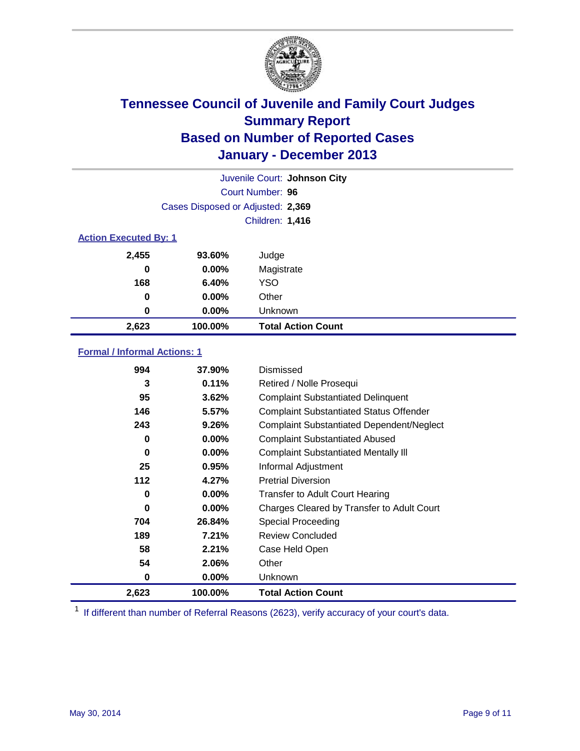

|                              | Juvenile Court: Johnson City      |                           |  |  |
|------------------------------|-----------------------------------|---------------------------|--|--|
|                              | Court Number: 96                  |                           |  |  |
|                              | Cases Disposed or Adjusted: 2,369 |                           |  |  |
|                              | Children: 1,416                   |                           |  |  |
| <b>Action Executed By: 1</b> |                                   |                           |  |  |
| 2,455                        | 93.60%                            | Judge                     |  |  |
| 0                            | $0.00\%$                          | Magistrate                |  |  |
| 168                          | 6.40%                             | <b>YSO</b>                |  |  |
| 0                            | $0.00\%$                          | Other                     |  |  |
| 0                            | $0.00\%$                          | Unknown                   |  |  |
| 2,623                        | 100.00%                           | <b>Total Action Count</b> |  |  |

### **Formal / Informal Actions: 1**

| 994      | 37.90%   | Dismissed                                        |
|----------|----------|--------------------------------------------------|
| 3        | 0.11%    | Retired / Nolle Prosequi                         |
| 95       | 3.62%    | <b>Complaint Substantiated Delinquent</b>        |
| 146      | 5.57%    | <b>Complaint Substantiated Status Offender</b>   |
| 243      | 9.26%    | <b>Complaint Substantiated Dependent/Neglect</b> |
| 0        | $0.00\%$ | <b>Complaint Substantiated Abused</b>            |
| $\bf{0}$ | $0.00\%$ | <b>Complaint Substantiated Mentally III</b>      |
| 25       | 0.95%    | Informal Adjustment                              |
| 112      | 4.27%    | <b>Pretrial Diversion</b>                        |
| 0        | $0.00\%$ | <b>Transfer to Adult Court Hearing</b>           |
| 0        | $0.00\%$ | Charges Cleared by Transfer to Adult Court       |
| 704      | 26.84%   | Special Proceeding                               |
| 189      | 7.21%    | <b>Review Concluded</b>                          |
| 58       | 2.21%    | Case Held Open                                   |
| 54       | 2.06%    | Other                                            |
| 0        | $0.00\%$ | Unknown                                          |
| 2,623    | 100.00%  | <b>Total Action Count</b>                        |

<sup>1</sup> If different than number of Referral Reasons (2623), verify accuracy of your court's data.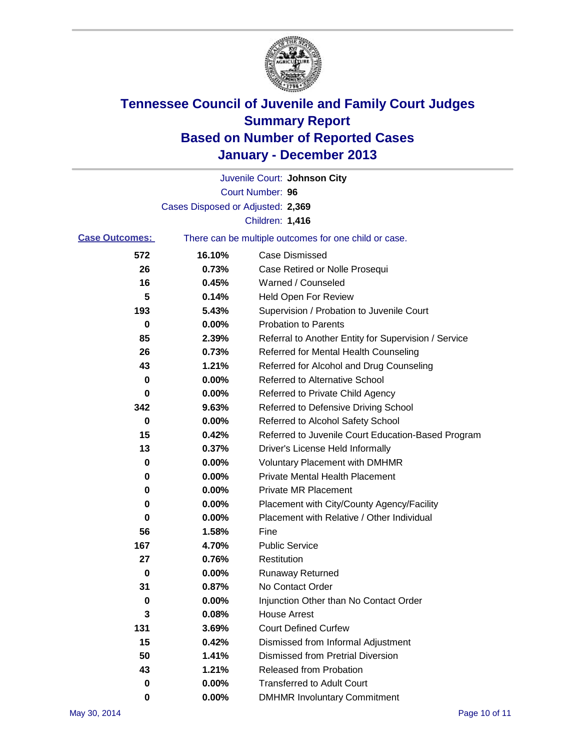

|          | Juvenile Court: Johnson City                          |
|----------|-------------------------------------------------------|
|          | Court Number: 96                                      |
|          |                                                       |
|          | Children: 1,416                                       |
|          | There can be multiple outcomes for one child or case. |
| 16.10%   | <b>Case Dismissed</b>                                 |
| 0.73%    | Case Retired or Nolle Prosequi                        |
| 0.45%    | Warned / Counseled                                    |
| 0.14%    | Held Open For Review                                  |
| 5.43%    | Supervision / Probation to Juvenile Court             |
| 0.00%    | <b>Probation to Parents</b>                           |
| 2.39%    | Referral to Another Entity for Supervision / Service  |
| 0.73%    | Referred for Mental Health Counseling                 |
| 1.21%    | Referred for Alcohol and Drug Counseling              |
| 0.00%    | Referred to Alternative School                        |
| 0.00%    | Referred to Private Child Agency                      |
| 9.63%    | Referred to Defensive Driving School                  |
| 0.00%    | Referred to Alcohol Safety School                     |
| 0.42%    | Referred to Juvenile Court Education-Based Program    |
| 0.37%    | Driver's License Held Informally                      |
| 0.00%    | <b>Voluntary Placement with DMHMR</b>                 |
| 0.00%    | <b>Private Mental Health Placement</b>                |
| 0.00%    | <b>Private MR Placement</b>                           |
| 0.00%    | Placement with City/County Agency/Facility            |
| 0.00%    | Placement with Relative / Other Individual            |
| 1.58%    | Fine                                                  |
| 4.70%    | <b>Public Service</b>                                 |
| 0.76%    | Restitution                                           |
| 0.00%    | <b>Runaway Returned</b>                               |
| 0.87%    | No Contact Order                                      |
| $0.00\%$ | Injunction Other than No Contact Order                |
| 0.08%    | <b>House Arrest</b>                                   |
| 3.69%    | <b>Court Defined Curfew</b>                           |
| 0.42%    | Dismissed from Informal Adjustment                    |
| 1.41%    | <b>Dismissed from Pretrial Diversion</b>              |
| 1.21%    | Released from Probation                               |
| 0.00%    | <b>Transferred to Adult Court</b>                     |
| $0.00\%$ | <b>DMHMR Involuntary Commitment</b>                   |
|          | Cases Disposed or Adjusted: 2,369                     |